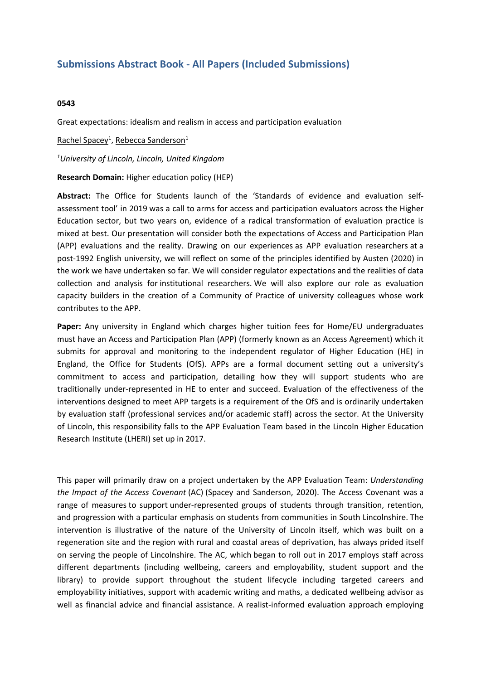## **Submissions Abstract Book - All Papers (Included Submissions)**

## **0543**

Great expectations: idealism and realism in access and participation evaluation

Rachel Spacey<sup>1</sup>, <u>Rebecca Sanderson</u><sup>1</sup>

*1 University of Lincoln, Lincoln, United Kingdom*

**Research Domain:** Higher education policy (HEP)

**Abstract:** The Office for Students launch of the 'Standards of evidence and evaluation selfassessment tool' in 2019 was <sup>a</sup> call to arms for access and participation evaluators across the Higher Education sector, but two years on, evidence of <sup>a</sup> radical transformation of evaluation practice is mixed at best. Our presentation will consider both the expectations of Access and Participation Plan (APP) evaluations and the reality. Drawing on our experiences as APP evaluation researchers at a post-1992 English university, we will reflect on some of the principles identified by Austen (2020) in the work we have undertaken so far. We will consider regulator expectations and the realities of data collection and analysis for institutional researchers. We will also explore our role as evaluation capacity builders in the creation of <sup>a</sup> Community of Practice of university colleagues whose work contributes to the APP.

**Paper:** Any university in England which charges higher tuition fees for Home/EU undergraduates must have an Access and Participation Plan (APP) (formerly known as an Access Agreement) which it submits for approval and monitoring to the independent regulator of Higher Education (HE) in England, the Office for Students (OfS). APPs are <sup>a</sup> formal document setting out <sup>a</sup> university's commitment to access and participation, detailing how they will support students who are traditionally under-represented in HE to enter and succeed. Evaluation of the effectiveness of the interventions designed to meet APP targets is <sup>a</sup> requirement of the OfS and is ordinarily undertaken by evaluation staff (professional services and/or academic staff) across the sector. At the University of Lincoln, this responsibility falls to the APP Evaluation Team based in the Lincoln Higher Education Research Institute (LHERI) set up in 2017.

This paper will primarily draw on <sup>a</sup> project undertaken by the APP Evaluation Team: *Understanding the Impact of the Access Covenant* (AC) (Spacey and Sanderson, 2020). The Access Covenant was a range of measures to support under-represented groups of students through transition, retention, and progression with <sup>a</sup> particular emphasis on students from communities in South Lincolnshire. The intervention is illustrative of the nature of the University of Lincoln itself, which was built on <sup>a</sup> regeneration site and the region with rural and coastal areas of deprivation, has always prided itself on serving the people of Lincolnshire. The AC, which began to roll out in 2017 employs staff across different departments (including wellbeing, careers and employability, student support and the library) to provide support throughout the student lifecycle including targeted careers and employability initiatives, support with academic writing and maths, <sup>a</sup> dedicated wellbeing advisor as well as financial advice and financial assistance. A realist-informed evaluation approach employing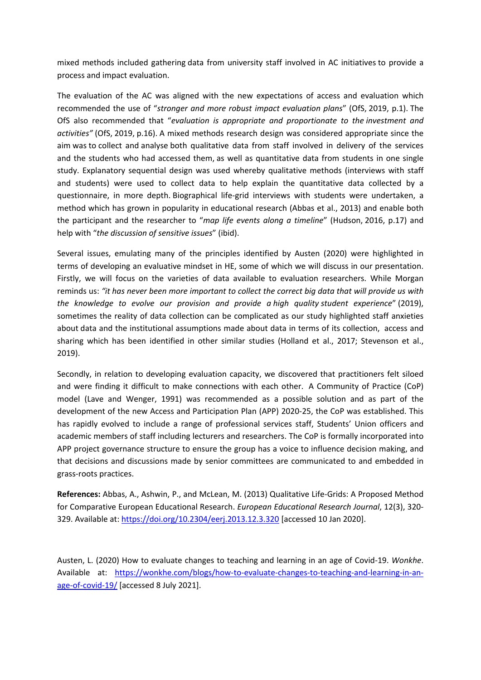mixed methods included gathering data from university staff involved in AC initiatives to provide <sup>a</sup> process and impact evaluation.

The evaluation of the AC was aligned with the new expectations of access and evaluation which recommended the use of "*stronger and more robust impact evaluation plans*" (OfS, 2019, p.1). The OfS also recommended that "*evaluation is appropriate and proportionate to the investment and activities"* (OfS, 2019, p.16). A mixed methods research design was considered appropriate since the aim was to collect and analyse both qualitative data from staff involved in delivery of the services and the students who had accessed them, as well as quantitative data from students in one single study. Explanatory sequential design was used whereby qualitative methods (interviews with staff and students) were used to collect data to help explain the quantitative data collected by <sup>a</sup> questionnaire, in more depth. Biographical life-grid interviews with students were undertaken, <sup>a</sup> method which has grown in popularity in educational research (Abbas et al., 2013) and enable both the participant and the researcher to "*map life events along <sup>a</sup> timeline*" (Hudson, 2016, p.17) and help with "*the discussion of sensitive issues*" (ibid).

Several issues, emulating many of the principles identified by Austen (2020) were highlighted in terms of developing an evaluative mindset in HE, some of which we will discuss in our presentation. Firstly, we will focus on the varieties of data available to evaluation researchers. While Morgan reminds us: *"it has never been more important to collect the correct big data that will provide us with the knowledge to evolve our provision and provide a high quality student experience*" (2019), sometimes the reality of data collection can be complicated as our study highlighted staff anxieties about data and the institutional assumptions made about data in terms of its collection, access and sharing which has been identified in other similar studies (Holland et al., 2017; Stevenson et al., 2019).

Secondly, in relation to developing evaluation capacity, we discovered that practitioners felt siloed and were finding it difficult to make connections with each other. A Community of Practice (CoP) model (Lave and Wenger, 1991) was recommended as <sup>a</sup> possible solution and as part of the development of the new Access and Participation Plan (APP) 2020-25, the CoP was established. This has rapidly evolved to include <sup>a</sup> range of professional services staff, Students' Union officers and academic members of staff including lecturers and researchers. The CoP is formally incorporated into APP project governance structure to ensure the group has a voice to influence decision making, and that decisions and discussions made by senior committees are communicated to and embedded in grass-roots practices.

**References:** Abbas, A., Ashwin, P., and McLean, M. (2013) Qualitative Life-Grids: A Proposed Method for Comparative European Educational Research. *European Educational Research Journal*, 12(3), 320- 329. Available at: <https://doi.org/10.2304/eerj.2013.12.3.320> [accessed 10 Jan 2020].

Austen, L. (2020) How to evaluate changes to teaching and learning in an age of Covid-19. *Wonkhe*. Available at: [https://wonkhe.com/blogs/how-to-evaluate-changes-to-teaching-and-learning-in-an](https://wonkhe.com/blogs/how-to-evaluate-changes-to-teaching-and-learning-in-an-age-of-covid-19/)[age-of-covid-19/](https://wonkhe.com/blogs/how-to-evaluate-changes-to-teaching-and-learning-in-an-age-of-covid-19/) [accessed 8 July 2021].